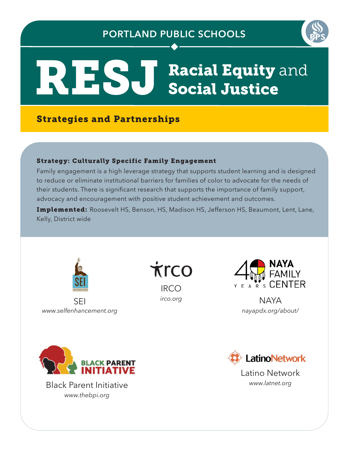## **PORTLAND PUBLIC SCHOOLS**



# RESJ Racial Equity and

## Strategies and Partnerships

### Strategy: Culturally Specific Family Engagement

Family engagement is a high leverage strategy that supports student learning and is designed to reduce or eliminate institutional barriers for families of color to advocate for the needs of their students. There is significant research that supports the importance of family support, advocacy and encouragement with positive student achievement and outcomes.

Implemented: Roosevelt HS, Benson, HS, Madison HS, Jefferson HS, Beaumont, Lent, Lane, Kelly, District wide



SEI *www.selfenhancement.org* **Trco** 

**IRCO** *irco.org*



**NAYA** *nayapdx.org/about/*



*www.latnet.org* Black Parent Initiative *www.thebpi.org*



Latino Network